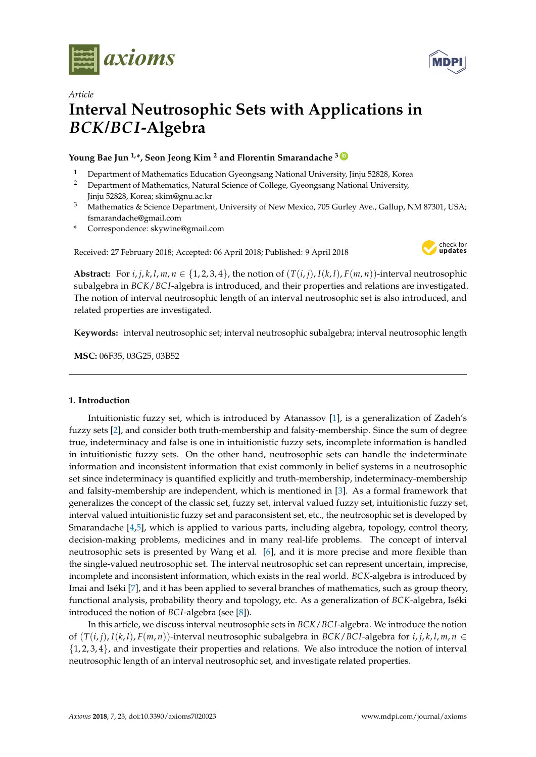



# *Article* **Interval Neutrosophic Sets with Applications in** *BCK***/***BCI***-Algebra**

**Young Bae Jun 1,\*, Seon Jeong Kim <sup>2</sup> and Florentin Smarandache <sup>3</sup> [ID](https://orcid.org/0000-0002-5560-5926)**

- <sup>1</sup> Department of Mathematics Education Gyeongsang National University, Jinju 52828, Korea<br><sup>2</sup> Department of Mathematics, Natural Science of College, Gyeongsang National University
- <sup>2</sup> Department of Mathematics, Natural Science of College, Gyeongsang National University, Jinju 52828, Korea; skim@gnu.ac.kr
- <sup>3</sup> Mathematics & Science Department, University of New Mexico, 705 Gurley Ave., Gallup, NM 87301, USA; fsmarandache@gmail.com
- **\*** Correspondence: skywine@gmail.com

Received: 27 February 2018; Accepted: 06 April 2018; Published: 9 April 2018



Abstract: For *i*, *j*, *k*, *l*, *m*,  $n \in \{1, 2, 3, 4\}$ , the notion of  $(T(i, j), I(k, l), F(m, n))$ -interval neutrosophic subalgebra in *BCK*/*BC I*-algebra is introduced, and their properties and relations are investigated. The notion of interval neutrosophic length of an interval neutrosophic set is also introduced, and related properties are investigated.

**Keywords:** interval neutrosophic set; interval neutrosophic subalgebra; interval neutrosophic length

**MSC:** 06F35, 03G25, 03B52

# **1. Introduction**

Intuitionistic fuzzy set, which is introduced by Atanassov [\[1\]](#page-12-0), is a generalization of Zadeh's fuzzy sets [\[2\]](#page-12-1), and consider both truth-membership and falsity-membership. Since the sum of degree true, indeterminacy and false is one in intuitionistic fuzzy sets, incomplete information is handled in intuitionistic fuzzy sets. On the other hand, neutrosophic sets can handle the indeterminate information and inconsistent information that exist commonly in belief systems in a neutrosophic set since indeterminacy is quantified explicitly and truth-membership, indeterminacy-membership and falsity-membership are independent, which is mentioned in [\[3\]](#page-12-2). As a formal framework that generalizes the concept of the classic set, fuzzy set, interval valued fuzzy set, intuitionistic fuzzy set, interval valued intuitionistic fuzzy set and paraconsistent set, etc., the neutrosophic set is developed by Smarandache [\[4,](#page-12-3)[5\]](#page-12-4), which is applied to various parts, including algebra, topology, control theory, decision-making problems, medicines and in many real-life problems. The concept of interval neutrosophic sets is presented by Wang et al. [\[6\]](#page-12-5), and it is more precise and more flexible than the single-valued neutrosophic set. The interval neutrosophic set can represent uncertain, imprecise, incomplete and inconsistent information, which exists in the real world. *BCK*-algebra is introduced by Imai and Iséki [\[7\]](#page-12-6), and it has been applied to several branches of mathematics, such as group theory, functional analysis, probability theory and topology, etc. As a generalization of *BCK*-algebra, Iséki introduced the notion of *BC I*-algebra (see [\[8\]](#page-12-7)).

In this article, we discuss interval neutrosophic sets in *BCK*/*BC I*-algebra. We introduce the notion of  $(T(i,j), I(k,l), F(m,n))$ -interval neutrosophic subalgebra in BCK/BCI-algebra for i, j, k, l, m, n  $\in$  $\{1, 2, 3, 4\}$ , and investigate their properties and relations. We also introduce the notion of interval neutrosophic length of an interval neutrosophic set, and investigate related properties.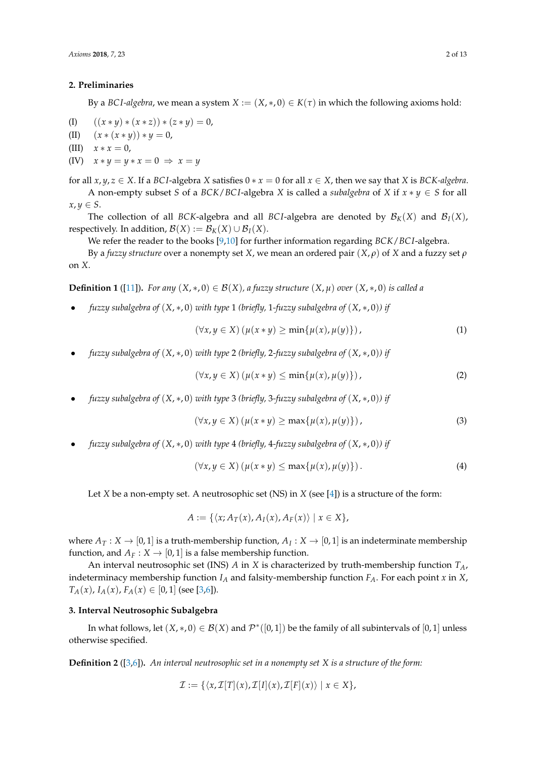#### **2. Preliminaries**

By a *BCI-algebra*, we mean a system  $X := (X, *0) \in K(\tau)$  in which the following axioms hold:

(I) 
$$
((x * y) * (x * z)) * (z * y) = 0,
$$

- (II)  $(x * (x * y)) * y = 0,$
- (III)  $x * x = 0$ ,
- (IV)  $x * y = y * x = 0 \Rightarrow x = y$

for all  $x, y, z \in X$ . If a *BCI*-algebra *X* satisfies  $0 * x = 0$  for all  $x \in X$ , then we say that *X* is *BCK-algebra*. A non-empty subset *S* of a *BCK*/*BCI*-algebra *X* is called a *subalgebra* of *X* if  $x * y \in S$  for all  $x, y \in S$ .

The collection of all *BCK*-algebra and all *BCI*-algebra are denoted by  $\mathcal{B}_K(X)$  and  $\mathcal{B}_I(X)$ , respectively. In addition,  $\mathcal{B}(X) := \mathcal{B}_K(X) \cup \mathcal{B}_I(X)$ .

We refer the reader to the books [\[9,](#page-12-8)[10\]](#page-12-9) for further information regarding *BCK*/*BC I*-algebra.

By a *fuzzy structure* over a nonempty set *X*, we mean an ordered pair (*X*, *ρ*) of *X* and a fuzzy set *ρ* on *X*.

**Definition 1** ([\[11\]](#page-12-10)). For any  $(X, *0) \in B(X)$ , a fuzzy structure  $(X, \mu)$  over  $(X, *0)$  is called a

• *fuzzy subalgebra of* (*X*, ∗, 0) *with type* 1 *(briefly,* 1*-fuzzy subalgebra of* (*X*, ∗, 0)*) if*

$$
(\forall x, y \in X) (\mu(x * y) \ge \min\{\mu(x), \mu(y)\}), \tag{1}
$$

• *fuzzy subalgebra of* (*X*, ∗, 0) *with type* 2 *(briefly,* 2*-fuzzy subalgebra of* (*X*, ∗, 0)*) if*

$$
(\forall x, y \in X) \left(\mu(x * y) \le \min\{\mu(x), \mu(y)\}\right),\tag{2}
$$

• *fuzzy subalgebra of* (*X*, ∗, 0) *with type* 3 *(briefly,* 3*-fuzzy subalgebra of* (*X*, ∗, 0)*) if*

$$
(\forall x, y \in X) (\mu(x * y) \ge \max\{\mu(x), \mu(y)\}), \tag{3}
$$

• *fuzzy subalgebra of* (*X*, ∗, 0) *with type* 4 *(briefly,* 4*-fuzzy subalgebra of* (*X*, ∗, 0)*) if*

$$
(\forall x, y \in X) (\mu(x * y) \le \max\{\mu(x), \mu(y)\}). \tag{4}
$$

Let *X* be a non-empty set. A neutrosophic set (NS) in *X* (see [\[4\]](#page-12-3)) is a structure of the form:

$$
A := \{ \langle x; A_T(x), A_I(x), A_F(x) \rangle \mid x \in X \},\
$$

where  $A_T: X \to [0,1]$  is a truth-membership function,  $A_I: X \to [0,1]$  is an indeterminate membership function, and  $A_F : X \to [0,1]$  is a false membership function.

An interval neutrosophic set (INS) *A* in *X* is characterized by truth-membership function *TA*, indeterminacy membership function  $I_A$  and falsity-membership function  $F_A$ . For each point *x* in *X*, *T<sub>A</sub>*(*x*), *I<sub>A</sub>*(*x*), *F<sub>A</sub>*(*x*)  $\in$  [0, 1] (see [\[3,](#page-12-2)[6\]](#page-12-5)).

#### **3. Interval Neutrosophic Subalgebra**

In what follows, let  $(X,*,0) \in \mathcal{B}(X)$  and  $\mathcal{P}^*([0,1])$  be the family of all subintervals of  $[0,1]$  unless otherwise specified.

**Definition 2** ([\[3,](#page-12-2)[6\]](#page-12-5))**.** *An interval neutrosophic set in a nonempty set X is a structure of the form:*

$$
\mathcal{I} := \{ \langle x, \mathcal{I}[T](x), \mathcal{I}[I](x), \mathcal{I}[F](x) \rangle \mid x \in X \},\
$$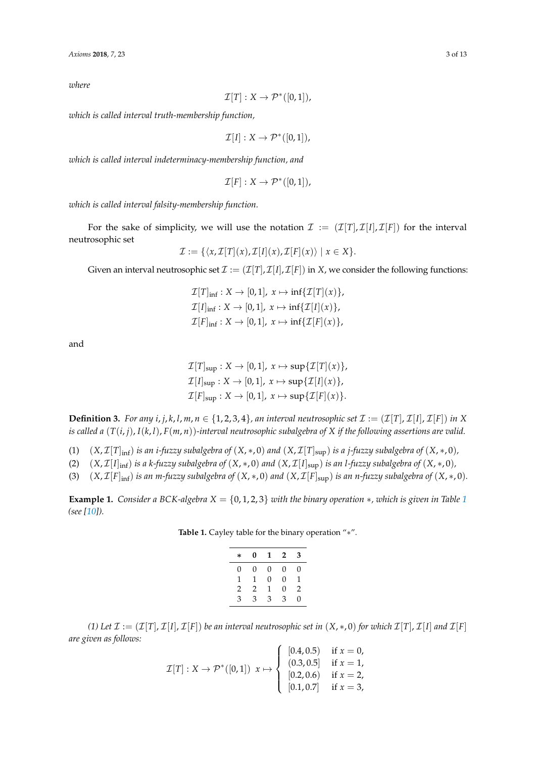*where*

$$
\mathcal{I}[T]: X \to \mathcal{P}^*([0,1]),
$$

*which is called interval truth-membership function,*

$$
\mathcal{I}[I]: X \to \mathcal{P}^*([0,1]),
$$

*which is called interval indeterminacy-membership function, and*

$$
\mathcal{I}[F]: X \to \mathcal{P}^*([0,1]),
$$

*which is called interval falsity-membership function.*

For the sake of simplicity, we will use the notation  $\mathcal{I} := (\mathcal{I}[T], \mathcal{I}[I], \mathcal{I}[F])$  for the interval neutrosophic set

$$
\mathcal{I} := \{ \langle x, \mathcal{I}[T](x), \mathcal{I}[I](x), \mathcal{I}[F](x) \rangle \mid x \in X \}.
$$

Given an interval neutrosophic set  $\mathcal{I} := (\mathcal{I}[T], \mathcal{I}[I], \mathcal{I}[F])$  in *X*, we consider the following functions:

$$
\mathcal{I}[T]_{\text{inf}} : X \to [0,1], x \mapsto \inf{\mathcal{I}[T](x)},
$$
  

$$
\mathcal{I}[I]_{\text{inf}} : X \to [0,1], x \mapsto \inf{\mathcal{I}[I](x)},
$$
  

$$
\mathcal{I}[F]_{\text{inf}} : X \to [0,1], x \mapsto \inf{\mathcal{I}[F](x)},
$$

and

$$
\mathcal{I}[T]_{\text{sup}} : X \to [0,1], x \mapsto \text{sup}\{\mathcal{I}[T](x)\},
$$
  

$$
\mathcal{I}[I]_{\text{sup}} : X \to [0,1], x \mapsto \text{sup}\{\mathcal{I}[I](x)\},
$$
  

$$
\mathcal{I}[F]_{\text{sup}} : X \to [0,1], x \mapsto \text{sup}\{\mathcal{I}[F](x)\}.
$$

**Definition 3.** For any *i*, *j*, *k*, *l*, *m*,  $n \in \{1, 2, 3, 4\}$ , an interval neutrosophic set  $\mathcal{I} := (\mathcal{I}[T], \mathcal{I}[I], \mathcal{I}[F])$  in X *is called a* (*T*(*i*, *j*), *I*(*k*, *l*), *F*(*m*, *n*))*-interval neutrosophic subalgebra of X if the following assertions are valid.*

- (1)  $(X, \mathcal{I}[T]_{\text{inf}})$  *is an i-fuzzy subalgebra of*  $(X, *, 0)$  *and*  $(X, \mathcal{I}[T]_{\text{sup}})$  *is a j-fuzzy subalgebra of*  $(X, *, 0)$ *,*
- (2)  $(X, \mathcal{I}[I]_{\text{inf}})$  *is a k-fuzzy subalgebra of*  $(X, *, 0)$  *and*  $(X, \mathcal{I}[I]_{\text{sup}})$  *is an l-fuzzy subalgebra of*  $(X, *, 0)$ *,*
- (3)  $(X, \mathcal{I}[F]_{\text{inf}})$  *is an m-fuzzy subalgebra of*  $(X, *, 0)$  *and*  $(X, \mathcal{I}[F]_{\text{sup}})$  *is an n-fuzzy subalgebra of*  $(X, *, 0)$ *.*

<span id="page-2-0"></span>**Example [1](#page-2-0).** *Consider a BCK-algebra*  $X = \{0, 1, 2, 3\}$  *with the binary operation* \**, which is given in Table* 1 *(see [\[10\]](#page-12-9)).*

**Table 1.** Cayley table for the binary operation "∗".

| $\ast$ | 0 | 1 | $\mathbf{2}$ | 3 |
|--------|---|---|--------------|---|
| 0      | 0 | 0 | 0            | 0 |
| 1      | 1 | 0 | 0            | 1 |
| 2      | 2 | 1 | 0            | 2 |
| 3      | 3 | 3 | 3            | 0 |

*(1)* Let  $\mathcal{I} := (\mathcal{I}[T], \mathcal{I}[I], \mathcal{I}[F])$  be an interval neutrosophic set in  $(X, *, 0)$  for which  $\mathcal{I}[T], \mathcal{I}[I]$  and  $\mathcal{I}[F]$ *are given as follows:*

$$
\mathcal{I}[T]: X \to \mathcal{P}^*([0,1]) \ x \mapsto \begin{cases} [0.4, 0.5) & \text{if } x = 0, \\ (0.3, 0.5] & \text{if } x = 1, \\ [0.2, 0.6) & \text{if } x = 2, \\ [0.1, 0.7] & \text{if } x = 3, \end{cases}
$$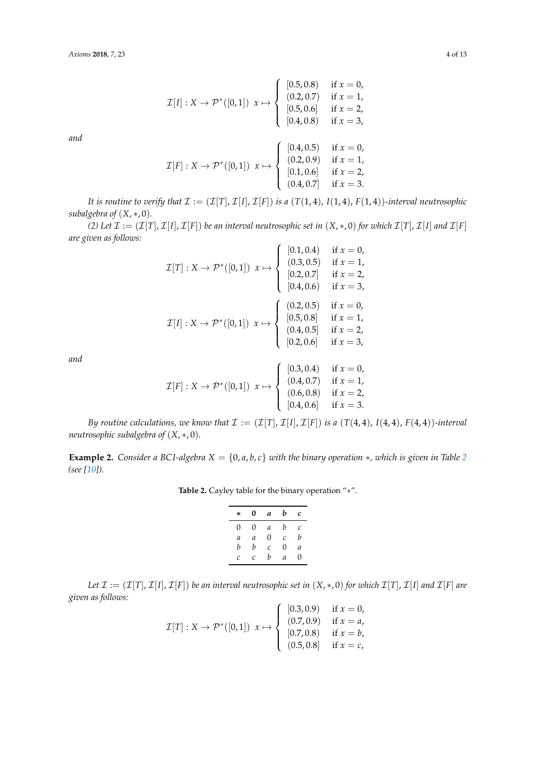$$
\mathcal{I}[I]: X \to \mathcal{P}^*([0,1]) \ x \mapsto \begin{cases}\n[0.5,0.8) & \text{if } x = 0, \\
(0.2,0.7) & \text{if } x = 1, \\
[0.5,0.6] & \text{if } x = 2, \\
[0.4,0.8) & \text{if } x = 3,\n\end{cases}
$$
\n
$$
\mathcal{I}[F]: X \to \mathcal{P}^*([0,1]) \ x \mapsto \begin{cases}\n[0.4,0.5) & \text{if } x = 0, \\
(0.2,0.9) & \text{if } x = 1, \\
[0.1,0.6] & \text{if } x = 2, \\
(0.4,0.7] & \text{if } x = 3.\n\end{cases}
$$

*It is routine to verify that*  $\mathcal{I} := (\mathcal{I}[T], \mathcal{I}[I], \mathcal{I}[F])$  *is a*  $(T(1, 4), T(1, 4))$ *-interval neutrosophic subalgebra of* (*X*, ∗, 0)*.*

*(2) Let*  $\mathcal{I} := (\mathcal{I}[T], \mathcal{I}[I], \mathcal{I}[F])$  *be an interval neutrosophic set in*  $(X, *, 0)$  *for which*  $\mathcal{I}[T], \mathcal{I}[I]$  *and*  $\mathcal{I}[F]$ *are given as follows:*

$$
\mathcal{I}[T]: X \to \mathcal{P}^*([0,1]) \ x \mapsto \begin{cases}\n[0.1, 0.4) & \text{if } x = 0, \\
(0.3, 0.5) & \text{if } x = 1, \\
[0.2, 0.7] & \text{if } x = 2, \\
[0.4, 0.6) & \text{if } x = 3,\n\end{cases}
$$
\n
$$
\mathcal{I}[I]: X \to \mathcal{P}^*([0,1]) \ x \mapsto \begin{cases}\n(0.2, 0.5) & \text{if } x = 0, \\
[0.5, 0.8] & \text{if } x = 1, \\
(0.4, 0.5) & \text{if } x = 1, \\
(0.2, 0.6) & \text{if } x = 2, \\
[0.2, 0.6) & \text{if } x = 3,\n\end{cases}
$$

*and*

$$
\mathcal{I}[F]: X \to \mathcal{P}^*([0,1]) \ x \mapsto \begin{cases} [0.3,0.4) & \text{if } x = 0, \\ (0.4,0.7) & \text{if } x = 1, \\ (0.6,0.8) & \text{if } x = 2, \\ [0.4,0.6] & \text{if } x = 3. \end{cases}
$$

*By routine calculations, we know that*  $\mathcal{I} := (\mathcal{I}[T], \mathcal{I}[I], \mathcal{I}[F])$  *is a*  $(T(4, 4), I(4, 4), F(4, 4))$ *-interval neutrosophic subalgebra of* (*X*, ∗, 0)*.*

<span id="page-3-1"></span><span id="page-3-0"></span>**Example [2](#page-3-0).** *Consider a BCI-algebra*  $X = \{0, a, b, c\}$  *with the binary operation*  $*$ *, which is given in Table* 2 *(see [\[10\]](#page-12-9)).*

**Table 2.** Cayley table for the binary operation "∗".

| $\ast$ | 0 | a             | b | C        |
|--------|---|---------------|---|----------|
| 0      | 0 | $\mathfrak a$ | b | С        |
| a      | a | $\Omega$      | Ċ | b        |
| b      | b | C             | 0 | a        |
| C      | C | b             | a | $\theta$ |
|        |   |               |   |          |

*Let*  $\mathcal{I} := (\mathcal{I}[T], \mathcal{I}[I], \mathcal{I}[F])$  *be an interval neutrosophic set in*  $(X, *, 0)$  *for which*  $\mathcal{I}[T], \mathcal{I}[I]$  *and*  $\mathcal{I}[F]$  *are given as follows:*  $\epsilon$  is

$$
\mathcal{I}[T]: X \to \mathcal{P}^*([0,1]) \ x \mapsto \begin{cases} [0.3,0.9) & \text{if } x = 0, \\ (0.7,0.9) & \text{if } x = a, \\ [0.7,0.8) & \text{if } x = b, \\ (0.5,0.8) & \text{if } x = c, \end{cases}
$$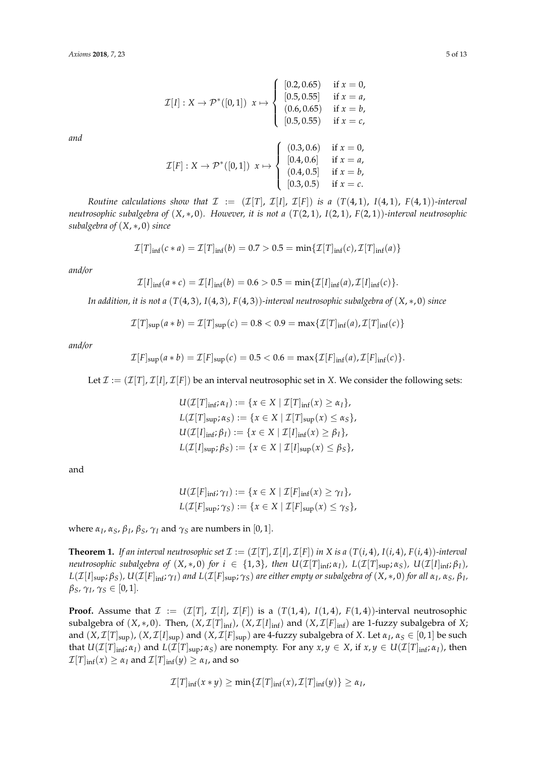$$
\mathcal{I}[I]: X \to \mathcal{P}^*([0,1]) \ x \mapsto \begin{cases}\n[0.2, 0.65) & \text{if } x = 0, \\
[0.5, 0.55] & \text{if } x = a, \\
(0.6, 0.65) & \text{if } x = b, \\
[0.5, 0.55) & \text{if } x = c,\n\end{cases}
$$
\n
$$
\mathcal{I}[F]: X \to \mathcal{P}^*([0,1]) \ x \mapsto \begin{cases}\n(0.3, 0.6) & \text{if } x = 0, \\
[0.4, 0.6] & \text{if } x = a, \\
(0.4, 0.5] & \text{if } x = a, \\
(0.3, 0.5) & \text{if } x = b,\n\end{cases}
$$

*Routine calculations show that*  $\mathcal{I} := (\mathcal{I}[T], \mathcal{I}[T], \mathcal{I}[F])$  *is a*  $(T(4, 1), T(4, 1), F(4, 1))$ *-interval neutrosophic subalgebra of* (*X*, ∗, 0)*. However, it is not a* (*T*(2, 1), *I*(2, 1), *F*(2, 1))*-interval neutrosophic subalgebra of* (*X*, ∗, 0) *since*

$$
\mathcal{I}[T]_{\text{inf}}(c*a) = \mathcal{I}[T]_{\text{inf}}(b) = 0.7 > 0.5 = \min\{\mathcal{I}[T]_{\text{inf}}(c), \mathcal{I}[T]_{\text{inf}}(a)\}
$$

*and/or*

*and*

$$
\mathcal{I}[I]_{\text{inf}}(a*c) = \mathcal{I}[I]_{\text{inf}}(b) = 0.6 > 0.5 = \min{\mathcal{I}[I]_{\text{inf}}(a), \mathcal{I}[I]_{\text{inf}}(c)}.
$$

*In addition, it is not a* (*T*(4, 3), *I*(4, 3), *F*(4, 3))*-interval neutrosophic subalgebra of* (*X*, ∗, 0) *since*

$$
\mathcal{I}[T]_{\text{sup}}(a * b) = \mathcal{I}[T]_{\text{sup}}(c) = 0.8 < 0.9 = \max\{\mathcal{I}[T]_{\text{inf}}(a), \mathcal{I}[T]_{\text{inf}}(c)\}
$$

*and/or*

$$
\mathcal{I}[F]_{\text{sup}}(a*b)=\mathcal{I}[F]_{\text{sup}}(c)=0.5<0.6=\max\{\mathcal{I}[F]_{\text{inf}}(a),\mathcal{I}[F]_{\text{inf}}(c)\}.
$$

Let  $\mathcal{I} := (\mathcal{I}[T], \mathcal{I}[T], \mathcal{I}[F])$  be an interval neutrosophic set in X. We consider the following sets:

$$
U(\mathcal{I}[T]_{\text{inf}}; \alpha_I) := \{x \in X \mid \mathcal{I}[T]_{\text{inf}}(x) \ge \alpha_I\},
$$
  
\n
$$
L(\mathcal{I}[T]_{\text{sup}}; \alpha_S) := \{x \in X \mid \mathcal{I}[T]_{\text{sup}}(x) \le \alpha_S\},
$$
  
\n
$$
U(\mathcal{I}[I]_{\text{inf}}; \beta_I) := \{x \in X \mid \mathcal{I}[I]_{\text{inf}}(x) \ge \beta_I\},
$$
  
\n
$$
L(\mathcal{I}[I]_{\text{sup}}; \beta_S) := \{x \in X \mid \mathcal{I}[I]_{\text{sup}}(x) \le \beta_S\},
$$

and

$$
U(\mathcal{I}[F]_{\text{inf}};\gamma_I) := \{x \in X \mid \mathcal{I}[F]_{\text{inf}}(x) \geq \gamma_I\},
$$
  

$$
L(\mathcal{I}[F]_{\text{sup}};\gamma_S) := \{x \in X \mid \mathcal{I}[F]_{\text{sup}}(x) \leq \gamma_S\},
$$

where  $α_I$ ,  $α_S$ ,  $β_I$ ,  $β_S$ ,  $γ_I$  and  $γ_S$  are numbers in [0, 1].

<span id="page-4-0"></span>**Theorem 1.** If an interval neutrosophic set  $\mathcal{I} := (\mathcal{I}[T], \mathcal{I}[I], \mathcal{I}[F])$  in X is a  $(T(i, 4), I(i, 4), F(i, 4))$ *-interval* neutrosophic subalgebra of  $(X,*,0)$  for  $i \in \{1,3\}$ , then  $U(\mathcal{I}[T]_{\text{inf}};\alpha_I)$ ,  $L(\mathcal{I}[T]_{\text{sup}};\alpha_S)$ ,  $U(\mathcal{I}[I]_{\text{inf}};\beta_I)$ ,  $L(\mathcal{I}[I]_{\text{sup}};\beta_S)$  ,  $U(\mathcal{I}[F]_{\text{inf}};\gamma_I)$  and  $L(\mathcal{I}[F]_{\text{sup}};\gamma_S)$  are either empty or subalgebra of  $(X,*,0)$  for all  $\alpha_I$ ,  $\alpha_S$ ,  $\beta_I$ , *βS, γ<sup>I</sup> , γ<sup>S</sup>* ∈ [0, 1]*.*

**Proof.** Assume that  $\mathcal{I} := (\mathcal{I}[T], \mathcal{I}[I], \mathcal{I}[F])$  is a  $(T(1, 4), T(1, 4), F(1, 4))$ -interval neutrosophic subalgebra of  $(X, *, 0)$ . Then,  $(X, \mathcal{I}[T]_{inf})$ ,  $(X, \mathcal{I}[I]_{inf})$  and  $(X, \mathcal{I}[F]_{inf})$  are 1-fuzzy subalgebra of X; and  $(X, \mathcal{I}[T]_{\text{sup}})$ ,  $(X, \mathcal{I}[I]_{\text{sup}})$  and  $(X, \mathcal{I}[F]_{\text{sup}})$  are 4-fuzzy subalgebra of X. Let  $\alpha_I$ ,  $\alpha_S \in [0,1]$  be such that  $U(\mathcal{I}[T]_{\text{inf}}; \alpha_I)$  and  $L(\mathcal{I}[T]_{\text{sup}}; \alpha_S)$  are nonempty. For any  $x, y \in X$ , if  $x, y \in U(\mathcal{I}[T]_{\text{inf}}; \alpha_I)$ , then  $\mathcal{I}[T]_{\text{inf}}(x) \geq \alpha_I$  and  $\mathcal{I}[T]_{\text{inf}}(y) \geq \alpha_I$ , and so

$$
\mathcal{I}[T]_{\text{inf}}(x * y) \geq \min\{\mathcal{I}[T]_{\text{inf}}(x), \mathcal{I}[T]_{\text{inf}}(y)\} \geq \alpha_I,
$$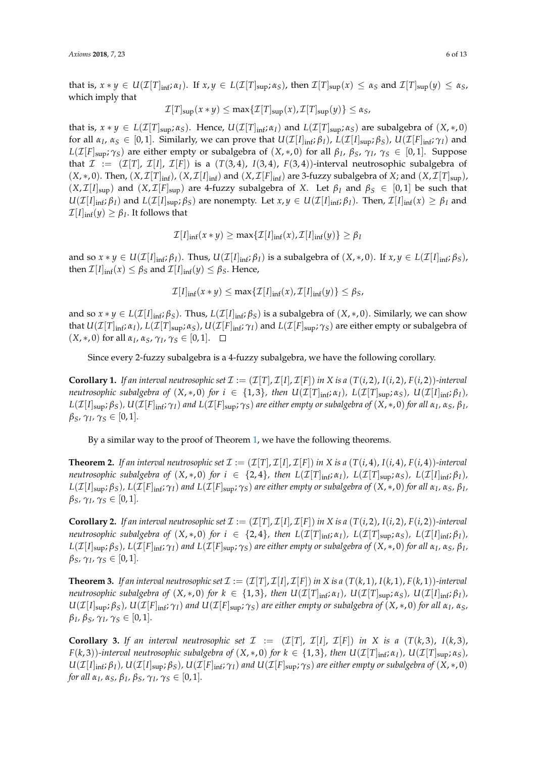that is,  $x * y \in U(\mathcal{I}[T]_{\text{inf}}; \alpha_I)$ . If  $x, y \in L(\mathcal{I}[T]_{\text{sup}}; \alpha_S)$ , then  $\mathcal{I}[T]_{\text{sup}}(x) \leq \alpha_S$  and  $\mathcal{I}[T]_{\text{sup}}(y) \leq \alpha_S$ , which imply that

$$
\mathcal{I}[T]_{\text{sup}}(x * y) \leq \max\{\mathcal{I}[T]_{\text{sup}}(x), \mathcal{I}[T]_{\text{sup}}(y)\} \leq \alpha_S,
$$

that is,  $x * y \in L(\mathcal{I}[T]_{\text{sup}}; \alpha_S)$ . Hence,  $U(\mathcal{I}[T]_{\text{inf}}; \alpha_I)$  and  $L(\mathcal{I}[T]_{\text{sup}}; \alpha_S)$  are subalgebra of  $(X, *, 0)$ for all  $\alpha_I$ ,  $\alpha_S \in [0,1]$ . Similarly, we can prove that  $U(\mathcal{I}[I]_{\text{inf}}; \beta_I)$ ,  $L(\mathcal{I}[I]_{\text{sup}}; \beta_S)$ ,  $U(\mathcal{I}[F]_{\text{inf}}; \gamma_I)$  and *L*( $\mathcal{I}[F]$ <sub>sup</sub>;  $γ_S$ ) are either empty or subalgebra of  $(X, *, 0)$  for all  $β_I$ ,  $β_S$ ,  $γ_I$ ,  $γ_S ∈ [0, 1]$ . Suppose that  $\mathcal{I} := (\mathcal{I}[T], \mathcal{I}[I], \mathcal{I}[F])$  is a  $(T(3, 4), T(3, 4), F(3, 4))$ -interval neutrosophic subalgebra of  $(X,*,0)$ . Then,  $(X,\mathcal{I}[T]_{\text{inf}})$ ,  $(X,\mathcal{I}[I]_{\text{inf}})$  and  $(X,\mathcal{I}[F]_{\text{inf}})$  are 3-fuzzy subalgebra of X; and  $(X,\mathcal{I}[T]_{\text{sup}})$ ,  $(X, \mathcal{I}[I]_{sup})$  and  $(X, \mathcal{I}[F]_{sup})$  are 4-fuzzy subalgebra of *X*. Let  $\beta_I$  and  $\beta_S \in [0, 1]$  be such that  $U(\mathcal{I}[I]_{\text{inf}};\beta_I)$  and  $L(\mathcal{I}[I]_{\text{sup}};\beta_S)$  are nonempty. Let  $x,y \in U(\mathcal{I}[I]_{\text{inf}};\beta_I)$ . Then,  $\mathcal{I}[I]_{\text{inf}}(x) \geq \beta_I$  and  $\mathcal{I}[I]_{\text{inf}}(y) \geq \beta_I.$  It follows that

$$
\mathcal{I}[I]_{\text{inf}}(x * y) \ge \max\{\mathcal{I}[I]_{\text{inf}}(x), \mathcal{I}[I]_{\text{inf}}(y)\} \ge \beta_I
$$

and so  $x * y \in U(\mathcal{I}[I]_{\text{inf}}; \beta_I)$ . Thus,  $U(\mathcal{I}[I]_{\text{inf}}; \beta_I)$  is a subalgebra of  $(X, *, 0)$ . If  $x, y \in L(\mathcal{I}[I]_{\text{inf}}; \beta_S)$ , then  $\mathcal{I}[I]_{\text{inf}}(x) \leq \beta_S$  and  $\mathcal{I}[I]_{\text{inf}}(y) \leq \beta_S$ . Hence,

$$
\mathcal{I}[I]_{\inf}(x*y) \leq \max\{\mathcal{I}[I]_{\inf}(x),\mathcal{I}[I]_{\inf}(y)\} \leq \beta_S,
$$

and so  $x * y \in L(\mathcal{I}[I]_{\text{inf}}; \beta_S)$ . Thus,  $L(\mathcal{I}[I]_{\text{inf}}; \beta_S)$  is a subalgebra of  $(X, *, 0)$ . Similarly, we can show that  $U(\mathcal{I}[T]_{\text{inf}}; \alpha_I)$ ,  $L(\mathcal{I}[T]_{\text{sup}}; \alpha_S)$ ,  $U(\mathcal{I}[F]_{\text{inf}}; \gamma_I)$  and  $L(\mathcal{I}[F]_{\text{sup}}; \gamma_S)$  are either empty or subalgebra of  $(X, ∗, 0)$  for all *α*<sub>*I*</sub>, *α*<sub>*S*</sub>, γ<sub>*I*</sub>, γ<sub>*S*</sub> ∈ [0, 1].

Since every 2-fuzzy subalgebra is a 4-fuzzy subalgebra, we have the following corollary.

**Corollary 1.** If an interval neutrosophic set  $\mathcal{I} := (\mathcal{I}[T], \mathcal{I}[T], \mathcal{I}[F])$  in X is a  $(T(i, 2), I(i, 2), F(i, 2))$ -interval neutrosophic subalgebra of  $(X,*,0)$  for  $i \in \{1,3\}$ , then  $U(\mathcal{I}[T]_{\text{inf}};\alpha_I)$ ,  $L(\mathcal{I}[T]_{\text{sup}};\alpha_S)$ ,  $U(\mathcal{I}[I]_{\text{inf}};\beta_I)$ ,  $L(\mathcal{I}[I]_{\text{sup}};\beta_S)$  ,  $U(\mathcal{I}[F]_{\text{inf}};\gamma_I)$  and  $L(\mathcal{I}[F]_{\text{sup}};\gamma_S)$  are either empty or subalgebra of  $(X,*,0)$  for all  $\alpha_I$ ,  $\alpha_S$ ,  $\beta_I$ , *βS, γ<sup>I</sup> , γ<sup>S</sup>* ∈ [0, 1]*.*

By a similar way to the proof of Theorem [1,](#page-4-0) we have the following theorems.

**Theorem 2.** If an interval neutrosophic set  $\mathcal{I} := (\mathcal{I}[T], \mathcal{I}[I], \mathcal{I}[F])$  in X is a  $(T(i, 4), I(i, 4), F(i, 4))$ *-interval* neutrosophic subalgebra of  $(X,*,0)$  for  $i \in \{2,4\}$ , then  $L(\mathcal{I}[T]_{\text{inf}}; \alpha_I)$ ,  $L(\mathcal{I}[T]_{\text{sup}}; \alpha_S)$ ,  $L(\mathcal{I}[I]_{\text{inf}}; \beta_I)$ ,  $L(\mathcal{I}[I]_{\text{sup}};\beta_S)$ ,  $L(\mathcal{I}[F]_{\text{inf}};\gamma_I)$  and  $L(\mathcal{I}[F]_{\text{sup}};\gamma_S)$  are either empty or subalgebra of  $(X,*,0)$  for all  $\alpha_I$ ,  $\alpha_S$ ,  $\beta_I$ , *βS, γ<sup>I</sup> , γ<sup>S</sup>* ∈ [0, 1]*.*

**Corollary 2.** If an interval neutrosophic set  $\mathcal{I} := (\mathcal{I}[T], \mathcal{I}[I], \mathcal{I}[F])$  in X is a  $(T(i, 2), I(i, 2), F(i, 2))$ -interval neutrosophic subalgebra of  $(X,*,0)$  for  $i \in \{2,4\}$ , then  $L(\mathcal{I}[T]_{\text{inf}}; \alpha_I)$ ,  $L(\mathcal{I}[T]_{\text{sup}}; \alpha_S)$ ,  $L(\mathcal{I}[I]_{\text{inf}}; \beta_I)$ ,  $L(\mathcal{I}[I]_{\text{sup}};\beta_S)$ ,  $L(\mathcal{I}[F]_{\text{inf}};\gamma_I)$  and  $L(\mathcal{I}[F]_{\text{sup}};\gamma_S)$  are either empty or subalgebra of  $(X,*,0)$  for all  $\alpha_I$ ,  $\alpha_S$ ,  $\beta_I$ , *βS, γ<sup>I</sup> , γ<sup>S</sup>* ∈ [0, 1]*.*

**Theorem 3.** If an interval neutrosophic set  $\mathcal{I} := (\mathcal{I}[T], \mathcal{I}[I], \mathcal{I}[F])$  in X is a  $(T(k, 1), I(k, 1), F(k, 1))$ *-interval* neutrosophic subalgebra of  $(X,*,0)$  for  $k \in \{1,3\}$ , then  $U(\mathcal{I}[T]_{\text{inf}}; \alpha_1)$ ,  $U(\mathcal{I}[T]_{\text{sup}}; \alpha_5)$ ,  $U(\mathcal{I}[I]_{\text{inf}}; \beta_1)$ ,  $U(\mathcal{I}[I]_{\text{sup}};\beta_S)$ ,  $U(\mathcal{I}[F]_{\text{inf}};\gamma_I)$  and  $U(\mathcal{I}[F]_{\text{sup}};\gamma_S)$  are either empty or subalgebra of  $(X,*,0)$  for all  $\alpha_I$ ,  $\alpha_S$ , *βI , βS, γ<sup>I</sup> , γ<sup>S</sup>* ∈ [0, 1]*.*

**Corollary 3.** If an interval neutrosophic set  $\mathcal{I} := (\mathcal{I}[T], \mathcal{I}[T], \mathcal{I}[F])$  in X is a  $(T(k,3), I(k,3))$ ,  $F(k,3)$ )-interval neutrosophic subalgebra of  $(X,*,0)$  for  $k \in \{1,3\}$ , then  $U(\mathcal{I}[T]_{\text{inf}};\alpha_I)$ ,  $U(\mathcal{I}[T]_{\text{sup}};\alpha_S)$ ,  $U(\mathcal{I}[I]_{\text{inf}};\beta_I)$ ,  $U(\mathcal{I}[I]_{\text{sup}};\beta_S)$ ,  $U(\mathcal{I}[F]_{\text{inf}};\gamma_I)$  and  $U(\mathcal{I}[F]_{\text{sup}};\gamma_S)$  are either empty or subalgebra of  $(X,*,0)$ *for all*  $α_I$ ,  $α_S$ ,  $β_I$ ,  $β_S$ ,  $γ_I$ ,  $γ_S \in [0, 1]$ .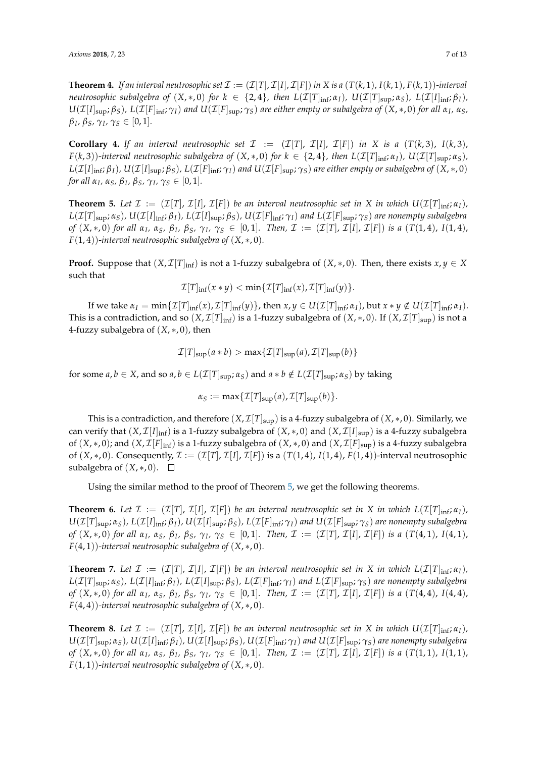**Theorem 4.** If an interval neutrosophic set  $\mathcal{I} := (\mathcal{I}[T], \mathcal{I}[I], \mathcal{I}[F])$  in X is a  $(T(k, 1), I(k, 1), F(k, 1))$ *-interval* neutrosophic subalgebra of  $(X,*,0)$  for  $k \in \{2,4\}$ , then  $L(\mathcal{I}[T]_{\text{inf}};\alpha_I)$ ,  $U(\mathcal{I}[T]_{\text{sup}};\alpha_S)$ ,  $L(\mathcal{I}[I]_{\text{inf}};\beta_I)$ ,  $U(\mathcal{I}[I]_{sup};\beta_S)$ ,  $L(\mathcal{I}[F]_{inf};\gamma_I)$  and  $U(\mathcal{I}[F]_{sup};\gamma_S)$  are either empty or subalgebra of  $(X,*,0)$  for all  $\alpha_I$ ,  $\alpha_S$ , *βI , βS, γ<sup>I</sup> , γ<sup>S</sup>* ∈ [0, 1]*.*

**Corollary 4.** If an interval neutrosophic set  $\mathcal{I} := (\mathcal{I}[T], \mathcal{I}[I], \mathcal{I}[F])$  in X is a  $(T(k,3), I(k,3))$  $F(k,3)$ )-interval neutrosophic subalgebra of  $(X,*,0)$  for  $k \in \{2,4\}$ , then  $L(\mathcal{I}[T]_{\text{inf}};\alpha_I)$ ,  $U(\mathcal{I}[T]_{\text{sup}};\alpha_S)$ ,  $L(\mathcal{I}[I]_{\text{inf}};\beta_I)$ ,  $U(\mathcal{I}[I]_{\text{sup}};\beta_S)$ ,  $L(\mathcal{I}[F]_{\text{inf}};\gamma_I)$  and  $U(\mathcal{I}[F]_{\text{sup}};\gamma_S)$  are either empty or subalgebra of  $(X,*,0)$ *for all*  $α_I$ ,  $α_S$ ,  $β_I$ ,  $β_S$ ,  $γ_I$ ,  $γ_S \in [0, 1]$ .

<span id="page-6-0"></span>**Theorem 5.** Let  $\mathcal{I} := (\mathcal{I}[T], \mathcal{I}[I], \mathcal{I}[F])$  be an interval neutrosophic set in X in which  $U(\mathcal{I}[T]_{\text{inf}}; \alpha_I)$ ,  $L(\mathcal{I}[T]_{\text{sup}};\alpha_S)$ ,  $U(\mathcal{I}[I]_{\text{inf}};\beta_I)$ ,  $L(\mathcal{I}[I]_{\text{sup}};\beta_S)$ ,  $U(\mathcal{I}[F]_{\text{inf}};\gamma_I)$  and  $L(\mathcal{I}[F]_{\text{sup}};\gamma_S)$  are nonempty subalgebra of  $(X,*,0)$  for all  $\alpha_I$ ,  $\alpha_S$ ,  $\beta_I$ ,  $\beta_S$ ,  $\gamma_I$ ,  $\gamma_S \in [0,1]$ . Then,  $\mathcal{I} := (\mathcal{I}[T],\mathcal{I}[I],\mathcal{I}[F])$  is a  $(T(1,4), I(1,4))$ , *F*(1, 4))*-interval neutrosophic subalgebra of* (*X*, ∗, 0)*.*

**Proof.** Suppose that  $(X, \mathcal{I}[T]_{\text{inf}})$  is not a 1-fuzzy subalgebra of  $(X, *, 0)$ . Then, there exists  $x, y \in X$ such that

$$
\mathcal{I}[T]_{\inf}(x*y)<\min\{\mathcal{I}[T]_{\inf}(x),\mathcal{I}[T]_{\inf}(y)\}.
$$

If we take  $\alpha_I = \min\{\mathcal{I}[T]_{\text{inf}}(x), \mathcal{I}[T]_{\text{inf}}(y)\}\$ , then  $x, y \in U(\mathcal{I}[T]_{\text{inf}}; \alpha_I)$ , but  $x * y \notin U(\mathcal{I}[T]_{\text{inf}}; \alpha_I)$ . This is a contradiction, and so  $(X, \mathcal{I}[T]_{\text{inf}})$  is a 1-fuzzy subalgebra of  $(X, *, 0)$ . If  $(X, \mathcal{I}[T]_{\text{sup}})$  is not a 4-fuzzy subalgebra of (*X*, ∗, 0), then

$$
\mathcal{I}[T]_{\text{sup}}(a * b) > \max\{\mathcal{I}[T]_{\text{sup}}(a), \mathcal{I}[T]_{\text{sup}}(b)\}
$$

for some  $a, b \in X$ , and so  $a, b \in L(\mathcal{I}[T]_{\text{sup}}; \alpha_S)$  and  $a * b \notin L(\mathcal{I}[T]_{\text{sup}}; \alpha_S)$  by taking

$$
\alpha_S := \max{\{\mathcal{I}[T]_{\text{sup}}(a), \mathcal{I}[T]_{\text{sup}}(b)\}}.
$$

This is a contradiction, and therefore  $(X, \mathcal{I}[T]_{\text{sup}})$  is a 4-fuzzy subalgebra of  $(X, *, 0)$ . Similarly, we can verify that  $(X, \mathcal{I}[I]_{inf})$  is a 1-fuzzy subalgebra of  $(X, *, 0)$  and  $(X, \mathcal{I}[I]_{sup})$  is a 4-fuzzy subalgebra of  $(X,*,0)$ ; and  $(X,\mathcal{I}[F]_{\text{inf}})$  is a 1-fuzzy subalgebra of  $(X,*,0)$  and  $(X,\mathcal{I}[F]_{\text{sup}})$  is a 4-fuzzy subalgebra of  $(X,*,0)$ . Consequently,  $\mathcal{I} := (\mathcal{I}[T], \mathcal{I}[I], \mathcal{I}[F])$  is a  $(T(1,4), T(1,4), F(1,4))$ -interval neutrosophic subalgebra of  $(X, *, 0)$ . □

Using the similar method to the proof of Theorem [5,](#page-6-0) we get the following theorems.

**Theorem 6.** Let  $\mathcal{I} := (\mathcal{I}[T], \mathcal{I}[I], \mathcal{I}[F])$  be an interval neutrosophic set in X in which  $L(\mathcal{I}[T]_{\text{inf}}; \alpha_I)$ ,  $U(\mathcal{I}[T]_{sup};\alpha_S)$ ,  $L(\mathcal{I}[I]_{inf};\beta_I)$ ,  $U(\mathcal{I}[I]_{sup};\beta_S)$ ,  $L(\mathcal{I}[F]_{inf};\gamma_I)$  and  $U(\mathcal{I}[F]_{sup};\gamma_S)$  are nonempty subalgebra of  $(X,*,0)$  for all  $\alpha_I$ ,  $\alpha_S$ ,  $\beta_I$ ,  $\beta_S$ ,  $\gamma_I$ ,  $\gamma_S \in [0,1]$ . Then,  $\mathcal{I} := (\mathcal{I}[T],\mathcal{I}[I],\mathcal{I}[F])$  is a  $(T(4,1), I(4,1), I(4,1))$ *F*(4, 1))*-interval neutrosophic subalgebra of* (*X*, ∗, 0)*.*

**Theorem 7.** Let  $\mathcal{I} := (\mathcal{I}[T], \mathcal{I}[I], \mathcal{I}[F])$  be an interval neutrosophic set in X in which  $L(\mathcal{I}[T]_{\text{inf}}; \alpha_I)$ ,  $L(\mathcal{I}[T]_{\text{sup}};\alpha_S)$ ,  $L(\mathcal{I}[I]_{\text{inf}};\beta_I)$ ,  $L(\mathcal{I}[I]_{\text{sup}};\beta_S)$ ,  $L(\mathcal{I}[F]_{\text{inf}};\gamma_I)$  and  $L(\mathcal{I}[F]_{\text{sup}};\gamma_S)$  are nonempty subalgebra of  $(X,*,0)$  for all  $\alpha_I$ ,  $\alpha_S$ ,  $\beta_I$ ,  $\beta_S$ ,  $\gamma_I$ ,  $\gamma_S \in [0,1]$ . Then,  $\mathcal{I} := (\mathcal{I}[T],\mathcal{I}[I],\mathcal{I}[F])$  is a  $(T(4,4), I(4,4))$ , *F*(4, 4))*-interval neutrosophic subalgebra of* (*X*, ∗, 0)*.*

**Theorem 8.** Let  $\mathcal{I} := (\mathcal{I}[T], \mathcal{I}[T], \mathcal{I}[F])$  be an interval neutrosophic set in X in which  $U(\mathcal{I}[T]_{\text{inf}}; \alpha_I)$ ,  $U(\mathcal{I}[T]_{sup};\alpha_S)$ ,  $U(\mathcal{I}[I]_{inf};\beta_I)$ ,  $U(\mathcal{I}[I]_{sup};\beta_S)$ ,  $U(\mathcal{I}[F]_{inf};\gamma_I)$  and  $U(\mathcal{I}[F]_{sup};\gamma_S)$  are nonempty subalgebra of  $(X,*,0)$  for all  $\alpha_I$ ,  $\alpha_S$ ,  $\beta_I$ ,  $\beta_S$ ,  $\gamma_I$ ,  $\gamma_S \in [0,1]$ . Then,  $\mathcal{I} := (\mathcal{I}[T],\mathcal{I}[I],\mathcal{I}[F])$  is a  $(T(1,1), I(1,1), I(1,1))$ *F*(1, 1))*-interval neutrosophic subalgebra of* (*X*, ∗, 0)*.*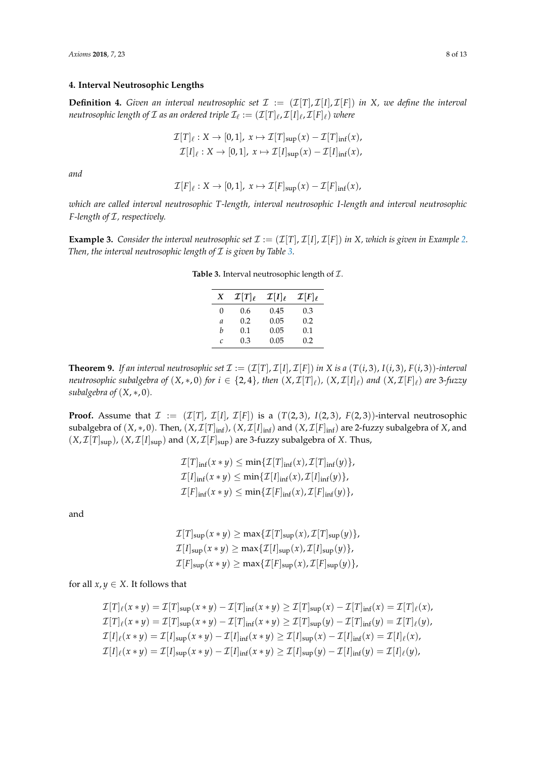## **4. Interval Neutrosophic Lengths**

**Definition 4.** *Given an interval neutrosophic set*  $\mathcal{I} := (\mathcal{I}[T], \mathcal{I}[I], \mathcal{I}[F])$  *in X*, we define the interval neutrosophic length of  ${\cal I}$  as an ordered triple  ${\cal I}_\ell := ({\cal I}[T]_\ell, {\cal I}[I]_\ell, {\cal I}[F]_\ell)$  where

$$
\mathcal{I}[T]_{\ell}: X \to [0,1], x \mapsto \mathcal{I}[T]_{\text{sup}}(x) - \mathcal{I}[T]_{\text{inf}}(x),
$$
  

$$
\mathcal{I}[I]_{\ell}: X \to [0,1], x \mapsto \mathcal{I}[I]_{\text{sup}}(x) - \mathcal{I}[I]_{\text{inf}}(x),
$$

*and*

$$
\mathcal{I}[F]_{\ell}: X \to [0,1], x \mapsto \mathcal{I}[F]_{\text{sup}}(x) - \mathcal{I}[F]_{\text{inf}}(x),
$$

*which are called interval neutrosophic T-length, interval neutrosophic I-length and interval neutrosophic F-length of* I*, respectively.*

<span id="page-7-0"></span>**Example 3.** Consider the interval neutrosophic set  $\mathcal{I} := (\mathcal{I}[T], \mathcal{I}[I], \mathcal{I}[F])$  in X, which is given in Example [2.](#page-3-1) *Then, the interval neutrosophic length of*  $I$  *is given by Table [3.](#page-7-0)* 

| <b>Table 3.</b> Interval neutrosophic length of $\mathcal{I}$ . |  |
|-----------------------------------------------------------------|--|
|                                                                 |  |

| X             | $\mathcal{I}[T]_{\ell}$ | $\mathcal{I}[I]_{\ell}$ | $\mathcal{I}[F]_{\ell}$ |
|---------------|-------------------------|-------------------------|-------------------------|
| 0             | 0.6                     | 0.45                    | 0.3                     |
| a             | 0.2                     | 0.05                    | 0.2                     |
| h             | 0.1                     | 0.05                    | 0.1                     |
| $\mathcal{C}$ | 0.3                     | 0.05                    | 0.2                     |

**Theorem 9.** If an interval neutrosophic set  $\mathcal{I} := (\mathcal{I}[T], \mathcal{I}[I], \mathcal{I}[F])$  in X is a  $(T(i, 3), I(i, 3), F(i, 3))$ *-interval neutrosophic subalgebra of*  $(X,*,0)$  *for*  $i\in\{2,4\}$ *, then*  $(X,\mathcal{I}[T]_\ell)$ *,*  $(X,\mathcal{I}[I]_\ell)$  *and*  $(X,\mathcal{I}[F]_\ell)$  *are 3-fuzzy subalgebra of*  $(X, *, 0)$ *.* 

**Proof.** Assume that  $\mathcal{I} := (\mathcal{I}[T], \mathcal{I}[I], \mathcal{I}[F])$  is a  $(T(2, 3), T(2, 3))$ -interval neutrosophic subalgebra of  $(X, *, 0)$ . Then,  $(X, \mathcal{I}[T]_{inf})$ ,  $(X, \mathcal{I}[T]_{inf})$  and  $(X, \mathcal{I}[F]_{inf})$  are 2-fuzzy subalgebra of  $X$ , and  $(X, \mathcal{I}[T]_{\text{sup}})$ ,  $(X, \mathcal{I}[I]_{\text{sup}})$  and  $(X, \mathcal{I}[F]_{\text{sup}})$  are 3-fuzzy subalgebra of *X*. Thus,

$$
\mathcal{I}[T]_{\text{inf}}(x * y) \leq \min{\{\mathcal{I}[T]_{\text{inf}}(x), \mathcal{I}[T]_{\text{inf}}(y)\}},
$$
  

$$
\mathcal{I}[I]_{\text{inf}}(x * y) \leq \min{\{\mathcal{I}[I]_{\text{inf}}(x), \mathcal{I}[I]_{\text{inf}}(y)\}},
$$
  

$$
\mathcal{I}[F]_{\text{inf}}(x * y) \leq \min{\{\mathcal{I}[F]_{\text{inf}}(x), \mathcal{I}[F]_{\text{inf}}(y)\}},
$$

and

$$
\mathcal{I}[T]_{\text{sup}}(x * y) \ge \max\{\mathcal{I}[T]_{\text{sup}}(x), \mathcal{I}[T]_{\text{sup}}(y)\},
$$
  

$$
\mathcal{I}[I]_{\text{sup}}(x * y) \ge \max\{\mathcal{I}[I]_{\text{sup}}(x), \mathcal{I}[I]_{\text{sup}}(y)\},
$$
  

$$
\mathcal{I}[F]_{\text{sup}}(x * y) \ge \max\{\mathcal{I}[F]_{\text{sup}}(x), \mathcal{I}[F]_{\text{sup}}(y)\},
$$

for all  $x, y \in X$ . It follows that

$$
\mathcal{I}[T]_{\ell}(x * y) = \mathcal{I}[T]_{\sup}(x * y) - \mathcal{I}[T]_{\inf}(x * y) \ge \mathcal{I}[T]_{\sup}(x) - \mathcal{I}[T]_{\inf}(x) = \mathcal{I}[T]_{\ell}(x),
$$
\n
$$
\mathcal{I}[T]_{\ell}(x * y) = \mathcal{I}[T]_{\sup}(x * y) - \mathcal{I}[T]_{\inf}(x * y) \ge \mathcal{I}[T]_{\sup}(y) - \mathcal{I}[T]_{\inf}(y) = \mathcal{I}[T]_{\ell}(y),
$$
\n
$$
\mathcal{I}[I]_{\ell}(x * y) = \mathcal{I}[I]_{\sup}(x * y) - \mathcal{I}[I]_{\inf}(x * y) \ge \mathcal{I}[I]_{\sup}(x) - \mathcal{I}[I]_{\inf}(x) = \mathcal{I}[I]_{\ell}(x),
$$
\n
$$
\mathcal{I}[I]_{\ell}(x * y) = \mathcal{I}[I]_{\sup}(x * y) - \mathcal{I}[I]_{\inf}(x * y) \ge \mathcal{I}[I]_{\sup}(y) - \mathcal{I}[I]_{\inf}(y) = \mathcal{I}[I]_{\ell}(y),
$$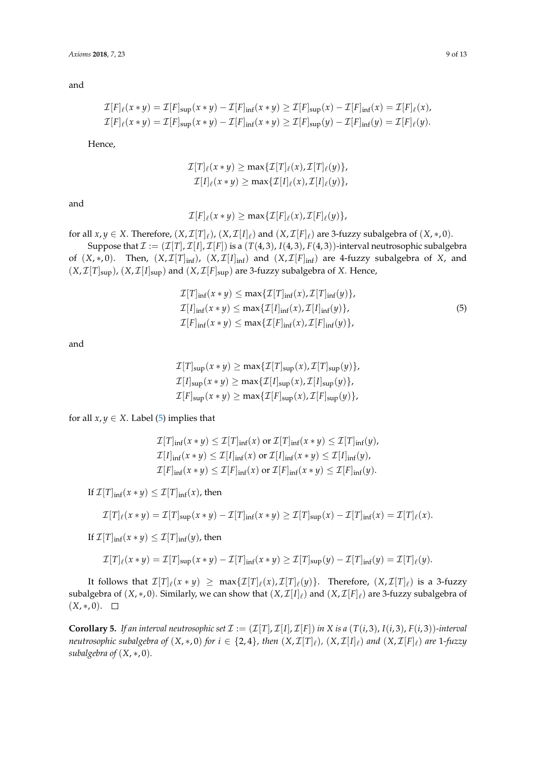$$
\mathcal{I}[F]_{\ell}(x*y) = \mathcal{I}[F]_{\text{sup}}(x*y) - \mathcal{I}[F]_{\text{inf}}(x*y) \ge \mathcal{I}[F]_{\text{sup}}(x) - \mathcal{I}[F]_{\text{inf}}(x) = \mathcal{I}[F]_{\ell}(x),
$$
  

$$
\mathcal{I}[F]_{\ell}(x*y) = \mathcal{I}[F]_{\text{sup}}(x*y) - \mathcal{I}[F]_{\text{inf}}(x*y) \ge \mathcal{I}[F]_{\text{sup}}(y) - \mathcal{I}[F]_{\text{inf}}(y) = \mathcal{I}[F]_{\ell}(y).
$$

Hence,

$$
\mathcal{I}[T]_{\ell}(x * y) \geq \max\{\mathcal{I}[T]_{\ell}(x), \mathcal{I}[T]_{\ell}(y)\},
$$
  

$$
\mathcal{I}[I]_{\ell}(x * y) \geq \max\{\mathcal{I}[I]_{\ell}(x), \mathcal{I}[I]_{\ell}(y)\},
$$

and

$$
\mathcal{I}[F]_{\ell}(x*y)\geq \max\{\mathcal{I}[F]_{\ell}(x),\mathcal{I}[F]_{\ell}(y)\},
$$

for all  $x, y \in X$ . Therefore,  $(X, \mathcal{I}[T]_{\ell})$ ,  $(X, \mathcal{I}[I]_{\ell})$  and  $(X, \mathcal{I}[F]_{\ell})$  are 3-fuzzy subalgebra of  $(X, *, 0)$ . Suppose that  $\mathcal{I} := (\mathcal{I}[T], \mathcal{I}[I], \mathcal{I}[F])$  is a  $(T(4, 3), I(4, 3), F(4, 3))$ -interval neutrosophic subalgebra

of  $(X,*,0)$ . Then,  $(X,\mathcal{I}[T]_{inf})$ ,  $(X,\mathcal{I}[I]_{inf})$  and  $(X,\mathcal{I}[F]_{inf})$  are 4-fuzzy subalgebra of *X*, and  $(X, \mathcal{I}[T]_{\text{sup}})$ ,  $(X, \mathcal{I}[I]_{\text{sup}})$  and  $(X, \mathcal{I}[F]_{\text{sup}})$  are 3-fuzzy subalgebra of *X*. Hence,

$$
\mathcal{I}[T]_{\text{inf}}(x * y) \le \max{\{\mathcal{I}[T]_{\text{inf}}(x), \mathcal{I}[T]_{\text{inf}}(y)\}},
$$
  
\n
$$
\mathcal{I}[I]_{\text{inf}}(x * y) \le \max{\{\mathcal{I}[I]_{\text{inf}}(x), \mathcal{I}[I]_{\text{inf}}(y)\}},
$$
  
\n
$$
\mathcal{I}[F]_{\text{inf}}(x * y) \le \max{\{\mathcal{I}[F]_{\text{inf}}(x), \mathcal{I}[F]_{\text{inf}}(y)\}},
$$
\n(5)

<span id="page-8-0"></span>and

$$
\mathcal{I}[T]_{\text{sup}}(x * y) \ge \max\{\mathcal{I}[T]_{\text{sup}}(x), \mathcal{I}[T]_{\text{sup}}(y)\},
$$
  

$$
\mathcal{I}[I]_{\text{sup}}(x * y) \ge \max\{\mathcal{I}[I]_{\text{sup}}(x), \mathcal{I}[I]_{\text{sup}}(y)\},
$$
  

$$
\mathcal{I}[F]_{\text{sup}}(x * y) \ge \max\{\mathcal{I}[F]_{\text{sup}}(x), \mathcal{I}[F]_{\text{sup}}(y)\},
$$

for all  $x, y \in X$ . Label [\(5\)](#page-8-0) implies that

$$
\mathcal{I}[T]_{\inf}(x * y) \leq \mathcal{I}[T]_{\inf}(x) \text{ or } \mathcal{I}[T]_{\inf}(x * y) \leq \mathcal{I}[T]_{\inf}(y),
$$
  

$$
\mathcal{I}[I]_{\inf}(x * y) \leq \mathcal{I}[I]_{\inf}(x) \text{ or } \mathcal{I}[I]_{\inf}(x * y) \leq \mathcal{I}[I]_{\inf}(y),
$$
  

$$
\mathcal{I}[F]_{\inf}(x * y) \leq \mathcal{I}[F]_{\inf}(x) \text{ or } \mathcal{I}[F]_{\inf}(x * y) \leq \mathcal{I}[F]_{\inf}(y).
$$

If  $\mathcal{I}[T]_{\text{inf}}(x * y) \leq \mathcal{I}[T]_{\text{inf}}(x)$ , then

$$
\mathcal{I}[T]_{\ell}(x*y)=\mathcal{I}[T]_{\sup}(x*y)-\mathcal{I}[T]_{\inf}(x*y)\geq \mathcal{I}[T]_{\sup}(x)-\mathcal{I}[T]_{\inf}(x)=\mathcal{I}[T]_{\ell}(x).
$$

If  $\mathcal{I}[T]_{\text{inf}}(x * y) \leq \mathcal{I}[T]_{\text{inf}}(y)$ , then

$$
\mathcal{I}[T]_{\ell}(x * y) = \mathcal{I}[T]_{\sup}(x * y) - \mathcal{I}[T]_{\inf}(x * y) \ge \mathcal{I}[T]_{\sup}(y) - \mathcal{I}[T]_{\inf}(y) = \mathcal{I}[T]_{\ell}(y).
$$

It follows that  $\mathcal{I}[T]_\ell(x*y) \ \geq \ \max\{\mathcal{I}[T]_\ell(x),\mathcal{I}[T]_\ell(y)\}.$  Therefore,  $(X,\mathcal{I}[T]_\ell)$  is a 3-fuzzy subalgebra of  $(X,*,0)$ . Similarly, we can show that  $(X,\mathcal{I}[I]_\ell)$  and  $(X,\mathcal{I}[F]_\ell)$  are 3-fuzzy subalgebra of  $(X, *, 0)$ .  $\square$ 

**Corollary 5.** If an interval neutrosophic set  $\mathcal{I} := (\mathcal{I}[T], \mathcal{I}[I], \mathcal{I}[F])$  in X is a  $(T(i, 3), I(i, 3), F(i, 3))$ *-interval neutrosophic subalgebra of*  $(X,*,0)$  *for*  $i\in\{2,4\}$ *, then*  $(X,\mathcal{I}[T]_\ell)$ *,*  $(X,\mathcal{I}[I]_\ell)$  *and*  $(X,\mathcal{I}[F]_\ell)$  *are 1-fuzzy subalgebra of* (*X*, ∗, 0)*.*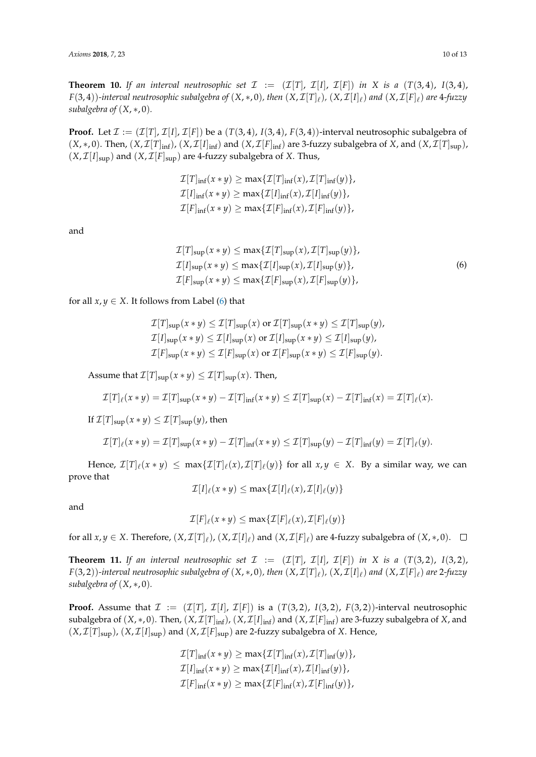**Theorem 10.** If an interval neutrosophic set  $\mathcal{I} := (\mathcal{I}[T], \mathcal{I}[I], \mathcal{I}[F])$  in X is a  $(T(3, 4), I(3, 4))$  $F(3,4))$ -interval neutrosophic subalgebra of  $(X,*,0)$ , then  $(X,\mathcal{I}[T]_\ell)$ ,  $(X,\mathcal{I}[I]_\ell)$  and  $(X,\mathcal{I}[F]_\ell)$  are  $4$ -fuzzy *subalgebra of* (*X*, ∗, 0)*.*

**Proof.** Let  $\mathcal{I} := (\mathcal{I}[T], \mathcal{I}[I], \mathcal{I}[F])$  be a  $(T(3, 4), T(3, 4), F(3, 4))$ -interval neutrosophic subalgebra of  $(X,*,0)$ . Then,  $(X,\mathcal{I}[T]_{\text{inf}})$ ,  $(X,\mathcal{I}[I]_{\text{inf}})$  and  $(X,\mathcal{I}[F]_{\text{inf}})$  are 3-fuzzy subalgebra of *X*, and  $(X,\mathcal{I}[T]_{\text{sup}})$ ,  $(X, \mathcal{I}[I]_{\text{sup}})$  and  $(X, \mathcal{I}[F]_{\text{sup}})$  are 4-fuzzy subalgebra of *X*. Thus,

$$
\mathcal{I}[T]_{\text{inf}}(x * y) \ge \max{\{\mathcal{I}[T]_{\text{inf}}(x), \mathcal{I}[T]_{\text{inf}}(y)\}},
$$
  

$$
\mathcal{I}[I]_{\text{inf}}(x * y) \ge \max{\{\mathcal{I}[I]_{\text{inf}}(x), \mathcal{I}[I]_{\text{inf}}(y)\}},
$$
  

$$
\mathcal{I}[F]_{\text{inf}}(x * y) \ge \max{\{\mathcal{I}[F]_{\text{inf}}(x), \mathcal{I}[F]_{\text{inf}}(y)\}},
$$

<span id="page-9-0"></span>and

$$
\mathcal{I}[T]_{\text{sup}}(x * y) \le \max\{\mathcal{I}[T]_{\text{sup}}(x), \mathcal{I}[T]_{\text{sup}}(y)\},
$$
  
\n
$$
\mathcal{I}[I]_{\text{sup}}(x * y) \le \max\{\mathcal{I}[I]_{\text{sup}}(x), \mathcal{I}[I]_{\text{sup}}(y)\},
$$
  
\n
$$
\mathcal{I}[F]_{\text{sup}}(x * y) \le \max\{\mathcal{I}[F]_{\text{sup}}(x), \mathcal{I}[F]_{\text{sup}}(y)\},
$$
  
\n(6)

for all  $x, y \in X$ . It follows from Label [\(6\)](#page-9-0) that

$$
\mathcal{I}[T]_{\text{sup}}(x * y) \leq \mathcal{I}[T]_{\text{sup}}(x) \text{ or } \mathcal{I}[T]_{\text{sup}}(x * y) \leq \mathcal{I}[T]_{\text{sup}}(y),
$$
  

$$
\mathcal{I}[I]_{\text{sup}}(x * y) \leq \mathcal{I}[I]_{\text{sup}}(x) \text{ or } \mathcal{I}[I]_{\text{sup}}(x * y) \leq \mathcal{I}[I]_{\text{sup}}(y),
$$
  

$$
\mathcal{I}[F]_{\text{sup}}(x * y) \leq \mathcal{I}[F]_{\text{sup}}(x) \text{ or } \mathcal{I}[F]_{\text{sup}}(x * y) \leq \mathcal{I}[F]_{\text{sup}}(y).
$$

Assume that  $\mathcal{I}[T]_{\text{sup}}(x * y) \leq \mathcal{I}[T]_{\text{sup}}(x)$ . Then,

$$
\mathcal{I}[T]_{\ell}(x * y) = \mathcal{I}[T]_{\sup}(x * y) - \mathcal{I}[T]_{\inf}(x * y) \leq \mathcal{I}[T]_{\sup}(x) - \mathcal{I}[T]_{\inf}(x) = \mathcal{I}[T]_{\ell}(x).
$$

If  $\mathcal{I}[T]_{\text{sup}}(x * y) \leq \mathcal{I}[T]_{\text{sup}}(y)$ , then

$$
\mathcal{I}[T]_{\ell}(x*y)=\mathcal{I}[T]_{\text{sup}}(x*y)-\mathcal{I}[T]_{\text{inf}}(x*y)\leq\mathcal{I}[T]_{\text{sup}}(y)-\mathcal{I}[T]_{\text{inf}}(y)=\mathcal{I}[T]_{\ell}(y).
$$

Hence,  $\mathcal{I}[T]_\ell(x*y) \leq \max\{\mathcal{I}[T]_\ell(x),\mathcal{I}[T]_\ell(y)\}$  for all  $x,y\in X$ . By a similar way, we can prove that

$$
\mathcal{I}[I]_{\ell}(x*y)\leq \max\{\mathcal{I}[I]_{\ell}(x),\mathcal{I}[I]_{\ell}(y)\}
$$

and

$$
\mathcal{I}[F]_{\ell}(x*y) \leq \max\{\mathcal{I}[F]_{\ell}(x),\mathcal{I}[F]_{\ell}(y)\}
$$

for all  $x, y \in X$ . Therefore,  $(X, \mathcal{I}[T]_{\ell})$ ,  $(X, \mathcal{I}[I]_{\ell})$  and  $(X, \mathcal{I}[F]_{\ell})$  are 4-fuzzy subalgebra of  $(X, *, 0)$ .

**Theorem 11.** *If an interval neutrosophic set*  $\mathcal{I} := (\mathcal{I}[T], \mathcal{I}[I], \mathcal{I}[F])$  *in*  $X$  *is a*  $(T(3, 2), I(3, 2))$  $F(3,2))$ -interval neutrosophic subalgebra of  $(X,*,0)$ , then  $(X,\mathcal{I}[T]_\ell)$ ,  $(X,\mathcal{I}[I]_\ell)$  and  $(X,\mathcal{I}[F]_\ell)$  are 2-fuzzy *subalgebra of* (*X*, ∗, 0)*.*

**Proof.** Assume that  $\mathcal{I} := (\mathcal{I}[T], \mathcal{I}[I], \mathcal{I}[F])$  is a  $(T(3, 2), T(3, 2))$ ,  $F(3, 2)$ )-interval neutrosophic subalgebra of  $(X, *, 0)$ . Then,  $(X, \mathcal{I}[T]_{inf})$ ,  $(X, \mathcal{I}[T]_{inf})$  and  $(X, \mathcal{I}[F]_{inf})$  are 3-fuzzy subalgebra of  $X$ , and  $(X, \mathcal{I}[T]_{\text{sup}})$ ,  $(X, \mathcal{I}[I]_{\text{sup}})$  and  $(X, \mathcal{I}[F]_{\text{sup}})$  are 2-fuzzy subalgebra of *X*. Hence,

$$
\mathcal{I}[T]_{\text{inf}}(x * y) \ge \max{\{\mathcal{I}[T]_{\text{inf}}(x), \mathcal{I}[T]_{\text{inf}}(y)\}},
$$
  

$$
\mathcal{I}[I]_{\text{inf}}(x * y) \ge \max{\{\mathcal{I}[I]_{\text{inf}}(x), \mathcal{I}[I]_{\text{inf}}(y)\}},
$$
  

$$
\mathcal{I}[F]_{\text{inf}}(x * y) \ge \max{\{\mathcal{I}[F]_{\text{inf}}(x), \mathcal{I}[F]_{\text{inf}}(y)\}},
$$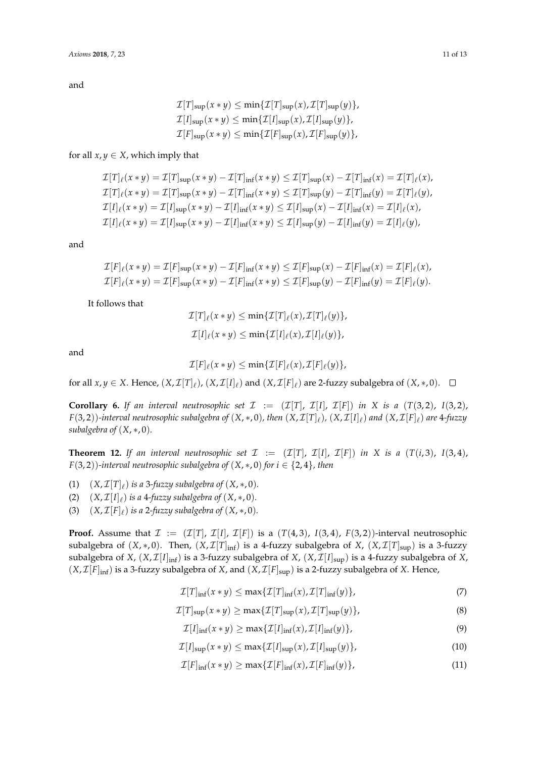$$
\mathcal{I}[T]_{\text{sup}}(x * y) \le \min\{\mathcal{I}[T]_{\text{sup}}(x), \mathcal{I}[T]_{\text{sup}}(y)\},
$$
  

$$
\mathcal{I}[I]_{\text{sup}}(x * y) \le \min\{\mathcal{I}[I]_{\text{sup}}(x), \mathcal{I}[I]_{\text{sup}}(y)\},
$$
  

$$
\mathcal{I}[F]_{\text{sup}}(x * y) \le \min\{\mathcal{I}[F]_{\text{sup}}(x), \mathcal{I}[F]_{\text{sup}}(y)\},
$$

## for all  $x, y \in X$ , which imply that

$$
\mathcal{I}[T]_{\ell}(x * y) = \mathcal{I}[T]_{\text{sup}}(x * y) - \mathcal{I}[T]_{\text{inf}}(x * y) \leq \mathcal{I}[T]_{\text{sup}}(x) - \mathcal{I}[T]_{\text{inf}}(x) = \mathcal{I}[T]_{\ell}(x),
$$
  
\n
$$
\mathcal{I}[T]_{\ell}(x * y) = \mathcal{I}[T]_{\text{sup}}(x * y) - \mathcal{I}[T]_{\text{inf}}(x * y) \leq \mathcal{I}[T]_{\text{sup}}(y) - \mathcal{I}[T]_{\text{inf}}(y) = \mathcal{I}[T]_{\ell}(y),
$$
  
\n
$$
\mathcal{I}[I]_{\ell}(x * y) = \mathcal{I}[I]_{\text{sup}}(x * y) - \mathcal{I}[I]_{\text{inf}}(x * y) \leq \mathcal{I}[I]_{\text{sup}}(x) - \mathcal{I}[I]_{\text{inf}}(x) = \mathcal{I}[I]_{\ell}(x),
$$
  
\n
$$
\mathcal{I}[I]_{\ell}(x * y) = \mathcal{I}[I]_{\text{sup}}(x * y) - \mathcal{I}[I]_{\text{inf}}(x * y) \leq \mathcal{I}[I]_{\text{sup}}(y) - \mathcal{I}[I]_{\text{inf}}(y) = \mathcal{I}[I]_{\ell}(y),
$$

and

$$
\mathcal{I}[F]_{\ell}(x * y) = \mathcal{I}[F]_{\text{sup}}(x * y) - \mathcal{I}[F]_{\text{inf}}(x * y) \leq \mathcal{I}[F]_{\text{sup}}(x) - \mathcal{I}[F]_{\text{inf}}(x) = \mathcal{I}[F]_{\ell}(x),
$$
  

$$
\mathcal{I}[F]_{\ell}(x * y) = \mathcal{I}[F]_{\text{sup}}(x * y) - \mathcal{I}[F]_{\text{inf}}(x * y) \leq \mathcal{I}[F]_{\text{sup}}(y) - \mathcal{I}[F]_{\text{inf}}(y) = \mathcal{I}[F]_{\ell}(y).
$$

It follows that

$$
\mathcal{I}[T]_{\ell}(x * y) \leq \min\{\mathcal{I}[T]_{\ell}(x), \mathcal{I}[T]_{\ell}(y)\},
$$
  

$$
\mathcal{I}[I]_{\ell}(x * y) \leq \min\{\mathcal{I}[I]_{\ell}(x), \mathcal{I}[I]_{\ell}(y)\},
$$

and

$$
\mathcal{I}[F]_{\ell}(x*y)\leq \min\{\mathcal{I}[F]_{\ell}(x),\mathcal{I}[F]_{\ell}(y)\},
$$

for all  $x, y \in X$ . Hence,  $(X, \mathcal{I}[T]_{\ell})$ ,  $(X, \mathcal{I}[I]_{\ell})$  and  $(X, \mathcal{I}[F]_{\ell})$  are 2-fuzzy subalgebra of  $(X, *, 0)$ .

**Corollary 6.** If an interval neutrosophic set  $\mathcal{I} := (\mathcal{I}[T], \mathcal{I}[T], \mathcal{I}[F])$  in X is a  $(T(3, 2), T(3, 2))$  $F(3,2))$ -interval neutrosophic subalgebra of  $(X,*,0)$ , then  $(X,\mathcal{I}[T]_\ell)$ ,  $(X,\mathcal{I}[I]_\ell)$  and  $(X,\mathcal{I}[F]_\ell)$  are  $4$ -fuzzy *subalgebra of* (*X*, ∗, 0)*.*

<span id="page-10-5"></span>**Theorem 12.** If an interval neutrosophic set  $\mathcal{I} := (\mathcal{I}[T], \mathcal{I}[I], \mathcal{I}[F])$  in X is a  $(T(i, 3), I(3, 4))$ *F*(3,2))-interval neutrosophic subalgebra of  $(X, *, 0)$  for  $i \in \{2, 4\}$ , then

- (1)  $(X, \mathcal{I}[T]_\ell)$  *is a* 3*-fuzzy subalgebra of*  $(X, *, 0)$ *.*
- (2)  $(X, \mathcal{I}[I]_\ell)$  *is a 4-fuzzy subalgebra of*  $(X, *, 0)$ *.*
- (3)  $(X, \mathcal{I}[F]_\ell)$  *is a* 2*-fuzzy subalgebra of*  $(X, *, 0)$ *.*

**Proof.** Assume that  $\mathcal{I} := (\mathcal{I}[T], \mathcal{I}[I], \mathcal{I}[F])$  is a  $(T(4, 3), I(3, 4), F(3, 2))$ -interval neutrosophic subalgebra of  $(X, *, 0)$ . Then,  $(X, \mathcal{I}[T]_{inf})$  is a 4-fuzzy subalgebra of *X*,  $(X, \mathcal{I}[T]_{sup})$  is a 3-fuzzy subalgebra of *X*,  $(X, \mathcal{I}[I]_{\text{inf}})$  is a 3-fuzzy subalgebra of *X*,  $(X, \mathcal{I}[I]_{\text{sup}})$  is a 4-fuzzy subalgebra of *X*,  $(X, \mathcal{I}[F]_{\text{inf}})$  is a 3-fuzzy subalgebra of *X*, and  $(X, \mathcal{I}[F]_{\text{sup}})$  is a 2-fuzzy subalgebra of *X*. Hence,

<span id="page-10-0"></span>
$$
\mathcal{I}[T]_{\inf}(x*y) \le \max\{\mathcal{I}[T]_{\inf}(x),\mathcal{I}[T]_{\inf}(y)\},\tag{7}
$$

<span id="page-10-1"></span>
$$
\mathcal{I}[T]_{\text{sup}}(x*y) \ge \max\{\mathcal{I}[T]_{\text{sup}}(x),\mathcal{I}[T]_{\text{sup}}(y)\},\tag{8}
$$

<span id="page-10-3"></span> $\mathcal{I}[I]_{\text{inf}}(x * y) \ge \max{\{\mathcal{I}[I]_{\text{inf}}(x), \mathcal{I}[I]_{\text{inf}}(y)\}}$ , (9)

<span id="page-10-2"></span>
$$
\mathcal{I}[I]_{\text{sup}}(x*y) \le \max\{\mathcal{I}[I]_{\text{sup}}(x),\mathcal{I}[I]_{\text{sup}}(y)\},\tag{10}
$$

<span id="page-10-4"></span>
$$
\mathcal{I}[F]_{\inf}(x*y) \ge \max\{\mathcal{I}[F]_{\inf}(x),\mathcal{I}[F]_{\inf}(y)\},\tag{11}
$$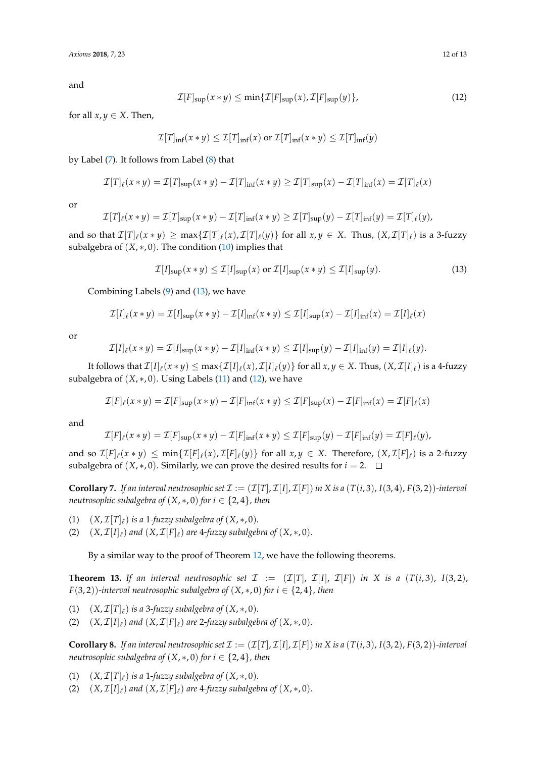<span id="page-11-1"></span>
$$
\mathcal{I}[F]_{\text{sup}}(x*y) \le \min\{\mathcal{I}[F]_{\text{sup}}(x),\mathcal{I}[F]_{\text{sup}}(y)\},\tag{12}
$$

for all  $x, y \in X$ . Then,

$$
\mathcal{I}[T]_{\inf}(x * y) \le \mathcal{I}[T]_{\inf}(x) \text{ or } \mathcal{I}[T]_{\inf}(x * y) \le \mathcal{I}[T]_{\inf}(y)
$$

by Label [\(7\)](#page-10-0). It follows from Label [\(8\)](#page-10-1) that

$$
\mathcal{I}[T]_{\ell}(x*y)=\mathcal{I}[T]_{\text{sup}}(x*y)-\mathcal{I}[T]_{\text{inf}}(x*y)\geq \mathcal{I}[T]_{\text{sup}}(x)-\mathcal{I}[T]_{\text{inf}}(x)=\mathcal{I}[T]_{\ell}(x)
$$

or

$$
\mathcal{I}[T]_{\ell}(x * y) = \mathcal{I}[T]_{\text{sup}}(x * y) - \mathcal{I}[T]_{\text{inf}}(x * y) \ge \mathcal{I}[T]_{\text{sup}}(y) - \mathcal{I}[T]_{\text{inf}}(y) = \mathcal{I}[T]_{\ell}(y),
$$

and so that  $\mathcal{I}[T]_\ell(x*y)\geq \max\{\mathcal{I}[T]_\ell(x),\mathcal{I}[T]_\ell(y)\}$  for all  $x,y\in X$ . Thus,  $(X,\mathcal{I}[T]_\ell)$  is a 3-fuzzy subalgebra of  $(X, *, 0)$ . The condition  $(10)$  implies that

<span id="page-11-0"></span>
$$
\mathcal{I}[I]_{\text{sup}}(x*y) \le \mathcal{I}[I]_{\text{sup}}(x) \text{ or } \mathcal{I}[I]_{\text{sup}}(x*y) \le \mathcal{I}[I]_{\text{sup}}(y). \tag{13}
$$

Combining Labels [\(9\)](#page-10-3) and [\(13\)](#page-11-0), we have

$$
\mathcal{I}[I]_{\ell}(x*y)=\mathcal{I}[I]_{\text{sup}}(x*y)-\mathcal{I}[I]_{\text{inf}}(x*y)\leq \mathcal{I}[I]_{\text{sup}}(x)-\mathcal{I}[I]_{\text{inf}}(x)=\mathcal{I}[I]_{\ell}(x)
$$

or

$$
\mathcal{I}[I]_{\ell}(x*y)=\mathcal{I}[I]_{\sup}(x*y)-\mathcal{I}[I]_{\inf}(x*y)\leq \mathcal{I}[I]_{\sup}(y)-\mathcal{I}[I]_{\inf}(y)=\mathcal{I}[I]_{\ell}(y).
$$

It follows that  $\mathcal{I}[I]_\ell(x*y)\leq \max\{\mathcal{I}[I]_\ell(x),\mathcal{I}[I]_\ell(y)\}$  for all  $x,y\in X.$  Thus,  $(X,\mathcal{I}[I]_\ell)$  is a 4-fuzzy subalgebra of  $(X, *, 0)$ . Using Labels [\(11\)](#page-10-4) and [\(12\)](#page-11-1), we have

$$
\mathcal{I}[F]_{\ell}(x*y)=\mathcal{I}[F]_{\text{sup}}(x*y)-\mathcal{I}[F]_{\text{inf}}(x*y)\leq \mathcal{I}[F]_{\text{sup}}(x)-\mathcal{I}[F]_{\text{inf}}(x)=\mathcal{I}[F]_{\ell}(x)
$$

and

$$
\mathcal{I}[F]_{\ell}(x*y)=\mathcal{I}[F]_{\text{sup}}(x*y)-\mathcal{I}[F]_{\text{inf}}(x*y)\leq \mathcal{I}[F]_{\text{sup}}(y)-\mathcal{I}[F]_{\text{inf}}(y)=\mathcal{I}[F]_{\ell}(y),
$$

and so  $\mathcal{I}[F]_\ell(x*y)\leq \min\{\mathcal{I}[F]_\ell(x),\mathcal{I}[F]_\ell(y)\}$  for all  $x,y\in X$ . Therefore,  $(X,\mathcal{I}[F]_\ell)$  is a 2-fuzzy subalgebra of  $(X, *, 0)$ . Similarly, we can prove the desired results for  $i = 2$ .  $\Box$ 

**Corollary 7.** If an interval neutrosophic set  $\mathcal{I} := (\mathcal{I}[T], \mathcal{I}[I], \mathcal{I}[F])$  in X is a  $(T(i, 3), I(3, 4), F(3, 2))$ -interval *neutrosophic subalgebra of*  $(X, *, 0)$  *for*  $i \in \{2, 4\}$ *, then* 

- (1)  $(X, \mathcal{I}[T]_\ell)$  *is a* 1*-fuzzy subalgebra of*  $(X, *, 0)$ *.*
- (2)  $(X, \mathcal{I}[I]_\ell)$  and  $(X, \mathcal{I}[F]_\ell)$  are 4-fuzzy subalgebra of  $(X, *, 0)$ *.*

By a similar way to the proof of Theorem [12,](#page-10-5) we have the following theorems.

**Theorem 13.** If an interval neutrosophic set  $\mathcal{I} := (\mathcal{I}[T], \mathcal{I}[I], \mathcal{I}[F])$  in X is a  $(T(i, 3), I(3, 2))$ *F*(3,2))-interval neutrosophic subalgebra of  $(X, *, 0)$  for  $i \in \{2, 4\}$ , then

- (1)  $(X, \mathcal{I}[T]_\ell)$  *is a* 3*-fuzzy subalgebra of*  $(X, *, 0)$ *.*
- (2)  $(X, \mathcal{I}[I]_\ell)$  and  $(X, \mathcal{I}[F]_\ell)$  are 2-fuzzy subalgebra of  $(X, *, 0)$ *.*

**Corollary 8.** If an interval neutrosophic set  $\mathcal{I} := (\mathcal{I}[T], \mathcal{I}[I], \mathcal{I}[F])$  in X is a  $(T(i, 3), I(3, 2), F(3, 2))$ *-interval neutrosophic subalgebra of*  $(X, *, 0)$  *for*  $i \in \{2, 4\}$ *, then* 

- (1)  $(X, \mathcal{I}[T]_\ell)$  *is a* 1*-fuzzy subalgebra of*  $(X, *, 0)$ *.*
- (2)  $(X, \mathcal{I}[I]_\ell)$  and  $(X, \mathcal{I}[F]_\ell)$  are 4-fuzzy subalgebra of  $(X, *, 0)$ *.*